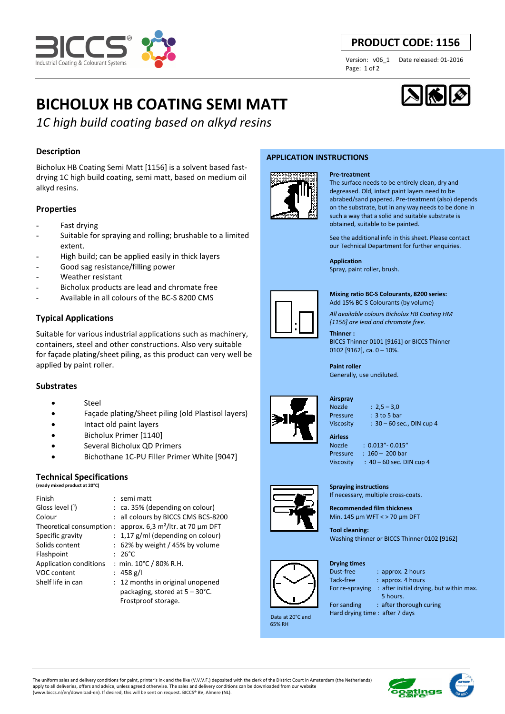

# **PRODUCT CODE: 1156**

Page: 1 of 2

Version: v06\_1 Date released: 01-2016

# **BICHOLUX HB COATING SEMI MATT**



# *1C high build coating based on alkyd resins*

# **Description**

Bicholux HB Coating Semi Matt [1156] is a solvent based fastdrying 1C high build coating, semi matt, based on medium oil alkyd resins.

#### **Properties**

- Fast drying
- Suitable for spraying and rolling; brushable to a limited extent.
- High build; can be applied easily in thick layers
- Good sag resistance/filling power
- Weather resistant
- Bicholux products are lead and chromate free
- Available in all colours of the BC-S 8200 CMS

# **Typical Applications**

Suitable for various industrial applications such as machinery, containers, steel and other constructions. Also very suitable for façade plating/sheet piling, as this product can very well be applied by paint roller.

## **Substrates**

- **Steel**
- Façade plating/Sheet piling (old Plastisol layers)
- Intact old paint layers
- Bicholux Primer [1140]
- Several Bicholux QD Primers
- Bichothane 1C-PU Filler Primer White [9047]

### **Technical Specifications**

| (ready mixed product at 20°C) |                                              |
|-------------------------------|----------------------------------------------|
| Finish                        | $:$ semi matt                                |
| Gloss level (1)               | $:$ ca. 35% (depending on colour)            |
| Colour                        | : all colours by BICCS CMS BCS-8200          |
| Theoretical consumption :     | approx. $6.3 \text{ m}^2$ /ltr. at 70 µm DFT |
| Specific gravity              | $: 1,17$ g/ml (depending on colour)          |
| Solids content                | $: 62\%$ by weight / 45% by volume           |
| Flashpoint                    | 26°C                                         |
| Application conditions        | : min. 10°C / 80% R.H.                       |
| VOC content                   | : 458 g/l                                    |
| Shelf life in can             | : 12 months in original unopened             |
|                               | packaging, stored at $5 - 30^{\circ}$ C.     |
|                               | Frostproof storage.                          |

#### **APPLICATION INSTRUCTIONS**



#### **Pre-treatment**

The surface needs to be entirely clean, dry and degreased. Old, intact paint layers need to be abrabed/sand papered. Pre-treatment (also) depends on the substrate, but in any way needs to be done in such a way that a solid and suitable substrate is obtained, suitable to be painted.

See the additional info in this sheet. Please contact our Technical Department for further enquiries.

#### **Application**

Spray, paint roller, brush.



**Mixing ratio BC-S Colourants, 8200 series:** 

Add 15% BC-S Colourants (by volume)

*All available colours Bicholux HB Coating HM [1156] are lead and chromate free.*

**Thinner :**  BICCS Thinner 0101 [9161] or BICCS Thinner 0102 [9162], ca. 0 – 10%.

**Paint roller**  Generally, use undiluted.



**Airspray**  Nozzle : 2,5 – 3,0

Pressure : 3 to 5 bar Viscosity : 30 – 60 sec., DIN cup 4

Nozzle : 0.013"- 0.015" Pressure : 160 – 200 bar

If necessary, multiple cross-coats. **Recommended film thickness**  Min. 145 µm WFT < > 70 µm DFT

Viscosity :  $40 - 60$  sec. DIN cup 4

Washing thinner or BICCS Thinner 0102 [9162]





 Data at 20°C and 65% RH

**Drying times** 

**Tool cleaning:** 

Dust-free : approx. 2 hours Tack-free : approx. 4 hours For re-spraying : after initial drying, but within max. 5 hours. For sanding : after thorough curing

Hard drying time : after 7 days

The uniform sales and delivery conditions for paint, printer's ink and the like (V.V.V.F.) deposited with the clerk of the District Court in Amsterdam (the Netherlands) apply to all deliveries, offers and advice, unless agreed otherwise. The sales and delivery conditions can be downloaded from our website (www.biccs.nl/en/download-en). If desired, this will be sent on request. BICCS® BV, Almere (NL).